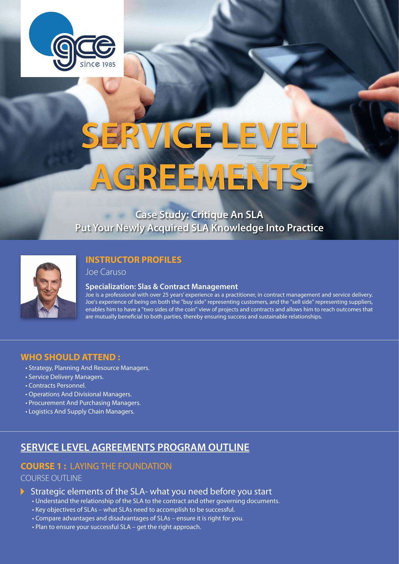

# **SERVICE LEVEL AGREEMENTS**

# **Put Your Newly Acquired SLA Knowledge Into Practice Case Study: Critique An SLA**



# **INSTRUCTOR PROFILES**

Joe Caruso

#### **Specialization: Slas & Contract Management**

Joe is a professional with over 25 years' experience as a practitioner, in contract management and service delivery. Joe's experience of being on both the "buy side" representing customers, and the "sell side" representing suppliers, enables him to have a "two sides of the coin" view of projects and contracts and allows him to reach outcomes that are mutually beneficial to both parties, thereby ensuring success and sustainable relationships.

### **WHO SHOULD ATTEND :**

- Strategy, Planning And Resource Managers.
- Service Delivery Managers.
- Contracts Personnel.
- Operations And Divisional Managers.
- Procurement And Purchasing Managers.
- Logistics And Supply Chain Managers.

# **SERVICE LEVEL AGREEMENTS PROGRAM OUTLINE**

# **COURSE 1 :** LAYING THE FOUNDATION

#### COURSE OUTLINE

- $\triangleright$  Strategic elements of the SLA- what you need before you start
	- Understand the relationship of the SLA to the contract and other governing documents.
	- Key objectives of SLAs what SLAs need to accomplish to be successful.
	- Compare advantages and disadvantages of SLAs ensure it is right for you.
	- Plan to ensure your successful SLA get the right approach.